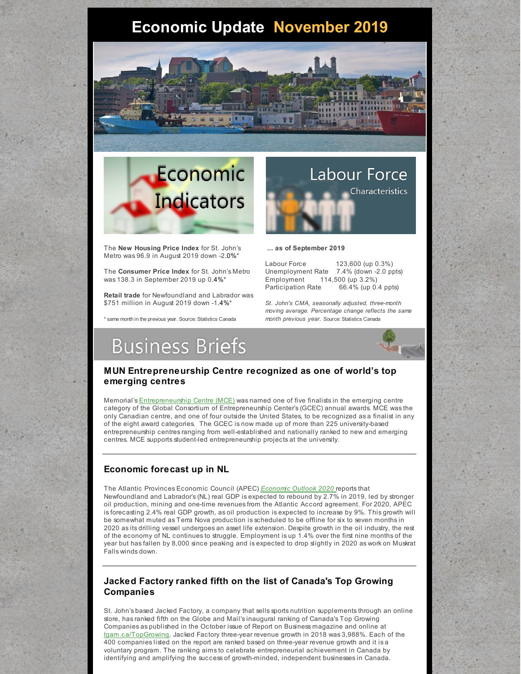# **Economic Update November 2019**





The **New Housing Price Index** for St. John's Metro was 96.9 in August 2019 down -2.0%\*

The **Consumer Price Index** for St. John's Metro was 138.3 in September 2019 up 0.4%\*

**Retail trade** for Newfoundland and Labrador was \$751 million in August 2019 down -1.4%\*

\* same month in the previous year. Source: Statistics Canada



**... as of September 2019**

Labour Force 123,600 (up 0.3%) Unemployment Rate 7.4% (down -2.0 ppts) Employment 114,500 (up 3.2%) Participation Rate 66.4% (up 0.4 ppts)

*St. John's CMA, seasonally adjusted, three-month moving average. Percentage change reflects the same month previous year.* Source: Statistics Canada

# **Business Briefs**



#### **MUN Entrepreneurship Centre recognized as one of world's top emerging centres**

Memorial's [Entrepreneurship](https://mce.mun.ca/) Centre (MCE) was named one of five finalists in the emerging centre category of the Global Consortium of Entrepreneurship Center's (GCEC) annual awards. MCE was the only Canadian centre, and one of four outside the United States, to be recognized as a finalist in any of the eight award categories. The GCEC is now made up of more than 225 university-based entrepreneurship centres ranging from well-established and nationally ranked to new and emerging centres. MCE supports student-led entrepreneurship projects at the university.

### **Economic forecast up in NL**

The Atlantic Provinces Economic Council (APEC) *[Economic](https://www.apec-econ.ca/) Outlook 2020* reports that Newfoundland and Labrador's (NL) real GDP is expected to rebound by 2.7% in 2019, led by stronger oil production, mining and one-time revenues from the Atlantic Accord agreement. For 2020, APEC is forecasting 2.4% real GDP growth, as oil production is expected to increase by 9%. This growth will be somewhat muted as Terra Nova production is scheduled to be offline for six to seven months in 2020 as its drilling vessel undergoes an asset life extension. Despite growth in the oil industry, the rest of the economy of NL continues to struggle. Employment is up 1.4% over the first nine months of the year but has fallen by 8,000 since peaking and is expected to drop slightly in 2020 as work on Muskrat Falls winds down.

### **Jacked Factory ranked fifth on the list of Canada's Top Growing Companies**

St. John's based Jacked Factory, a company that sells sports nutrition supplements through an online store, has ranked fifth on the Globe and Mail's inaugural ranking of Canada's Top Growing Companies as published in the October issue of Report on Business magazine and online at [tgam.ca/TopGrowing.](http://tgam.ca/TopGrowing) Jacked Factory three-year revenue growth in 2018 was 3,988%. Each of the 400 companies listed on the report are ranked based on three-year revenue growth and it is a voluntary program. The ranking aims to celebrate entrepreneurial achievement in Canada by identifying and amplifying the success of growth-minded, independent businesses in Canada.